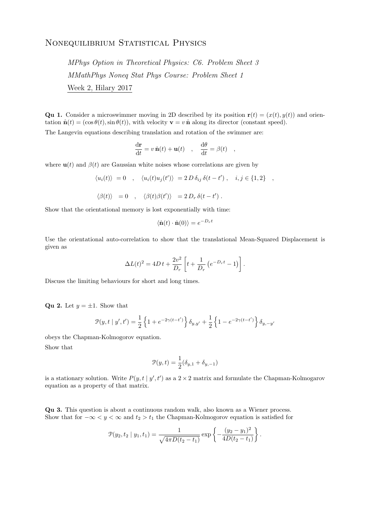## NONEQUILIBRIUM STATISTICAL PHYSICS

MPhys Option in Theoretical Physics: C6. Problem Sheet 3 MMathPhys Noneq Stat Phys Course: Problem Sheet 1 Week 2, Hilary 2017

**Qu 1.** Consider a microswimmer moving in 2D described by its position  $\mathbf{r}(t) = (x(t), y(t))$  and orientation  $\hat{\mathbf{n}}(t) = (\cos \theta(t), \sin \theta(t))$ , with velocity  $\mathbf{v} = v \hat{\mathbf{n}}$  along its director (constant speed).

The Langevin equations describing translation and rotation of the swimmer are:

$$
\frac{\mathrm{d}\mathbf{r}}{\mathrm{d}t} = v \,\hat{\mathbf{n}}(t) + \mathbf{u}(t) \quad , \quad \frac{\mathrm{d}\theta}{\mathrm{d}t} = \beta(t) \quad ,
$$

where  $\mathbf{u}(t)$  and  $\beta(t)$  are Gaussian white noises whose correlations are given by

$$
\langle u_i(t) \rangle = 0 \quad , \quad \langle u_i(t)u_j(t') \rangle = 2 D \delta_{ij} \delta(t - t') \quad , \quad i, j \in \{1, 2\} \quad ,
$$
  

$$
\langle \beta(t) \rangle = 0 \quad , \quad \langle \beta(t) \beta(t') \rangle = 2 D_r \delta(t - t') \quad .
$$

Show that the orientational memory is lost exponentially with time:

$$
\langle \hat{\mathbf{n}}(t) \cdot \hat{\mathbf{n}}(0) \rangle = e^{-D_r t}
$$

Use the orientational auto-correlation to show that the translational Mean-Squared Displacement is given as

$$
\Delta L(t)^{2} = 4Dt + \frac{2v^{2}}{D_{r}} \left[ t + \frac{1}{D_{r}} \left( e^{-D_{r}t} - 1 \right) \right].
$$

Discuss the limiting behaviours for short and long times.

**Qu 2.** Let  $y = \pm 1$ . Show that

$$
\mathcal{P}(y,t\mid y',t') = \frac{1}{2}\left\{1+e^{-2\gamma(t-t')}\right\}\delta_{y,y'} + \frac{1}{2}\left\{1-e^{-2\gamma(t-t')}\right\}\delta_{y,-y'}
$$

obeys the Chapman-Kolmogorov equation.

Show that

$$
\mathcal{P}(y,t)=\frac{1}{2}(\delta_{y,1}+\delta_{y,-1})
$$

is a stationary solution. Write  $P(y, t | y', t')$  as a  $2 \times 2$  matrix and formulate the Chapman-Kolmogarov equation as a property of that matrix.

Qu 3. This question is about a continuous random walk, also known as a Wiener process. Show that for  $-\infty < y < \infty$  and  $t_2 > t_1$  the Chapman-Kolmogorov equation is satisfied for

$$
\mathcal{P}(y_2, t_2 \mid y_1, t_1) = \frac{1}{\sqrt{4\pi D(t_2 - t_1)}} \exp \left\{-\frac{(y_2 - y_1)^2}{4D(t_2 - t_1)}\right\}.
$$